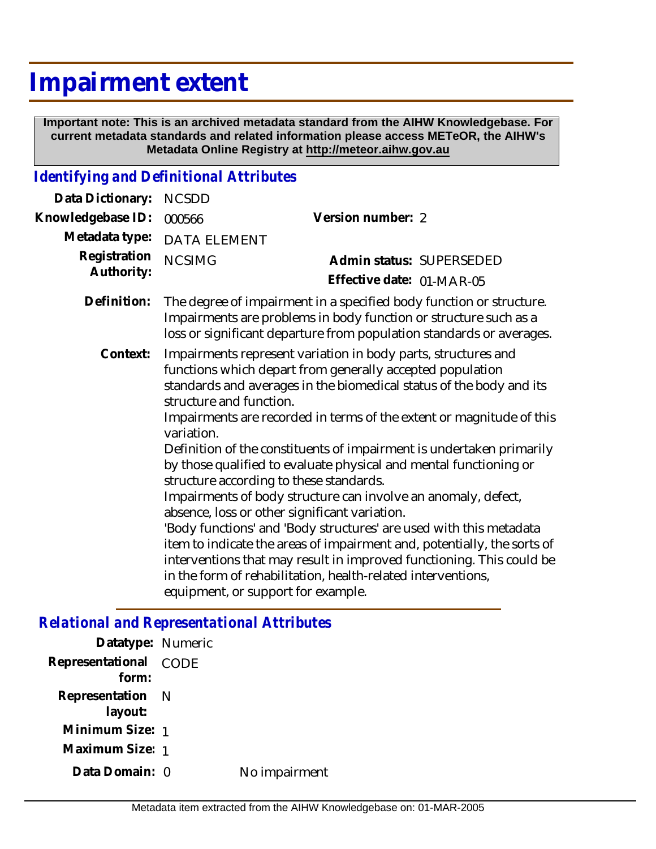## **Impairment extent**

 **Important note: This is an archived metadata standard from the AIHW Knowledgebase. For current metadata standards and related information please access METeOR, the AIHW's Metadata Online Registry at http://meteor.aihw.gov.au**

## *Identifying and Definitional Attributes*

| Data Dictionary:           | <b>NCSDD</b>                                                                                                                                                                                                                                                                                                                                                                                                                                                                                                                                                                                                                                                                                                                                                                                                                                                                                                          |                                                       |  |
|----------------------------|-----------------------------------------------------------------------------------------------------------------------------------------------------------------------------------------------------------------------------------------------------------------------------------------------------------------------------------------------------------------------------------------------------------------------------------------------------------------------------------------------------------------------------------------------------------------------------------------------------------------------------------------------------------------------------------------------------------------------------------------------------------------------------------------------------------------------------------------------------------------------------------------------------------------------|-------------------------------------------------------|--|
| Knowledgebase ID:          | Version number: 2<br>000566                                                                                                                                                                                                                                                                                                                                                                                                                                                                                                                                                                                                                                                                                                                                                                                                                                                                                           |                                                       |  |
| Metadata type:             | <b>DATA ELEMENT</b>                                                                                                                                                                                                                                                                                                                                                                                                                                                                                                                                                                                                                                                                                                                                                                                                                                                                                                   |                                                       |  |
| Registration<br>Authority: | <b>NCSIMG</b>                                                                                                                                                                                                                                                                                                                                                                                                                                                                                                                                                                                                                                                                                                                                                                                                                                                                                                         | Admin status: SUPERSEDED<br>Effective date: 01-MAR-05 |  |
|                            |                                                                                                                                                                                                                                                                                                                                                                                                                                                                                                                                                                                                                                                                                                                                                                                                                                                                                                                       |                                                       |  |
| Definition:                | The degree of impairment in a specified body function or structure.<br>Impairments are problems in body function or structure such as a<br>loss or significant departure from population standards or averages.                                                                                                                                                                                                                                                                                                                                                                                                                                                                                                                                                                                                                                                                                                       |                                                       |  |
| Context:                   | Impairments represent variation in body parts, structures and<br>functions which depart from generally accepted population<br>standards and averages in the biomedical status of the body and its<br>structure and function.<br>Impairments are recorded in terms of the extent or magnitude of this<br>variation.<br>Definition of the constituents of impairment is undertaken primarily<br>by those qualified to evaluate physical and mental functioning or<br>structure according to these standards.<br>Impairments of body structure can involve an anomaly, defect,<br>absence, loss or other significant variation.<br>'Body functions' and 'Body structures' are used with this metadata<br>item to indicate the areas of impairment and, potentially, the sorts of<br>interventions that may result in improved functioning. This could be<br>in the form of rehabilitation, health-related interventions, |                                                       |  |

*Relational and Representational Attributes*

| Datatype: Numeric              |               |
|--------------------------------|---------------|
| Representational CODE<br>form: |               |
| Representation N<br>layout:    |               |
| Minimum Size: 1                |               |
| Maximum Size: 1                |               |
| Data Domain: 0                 | No impairment |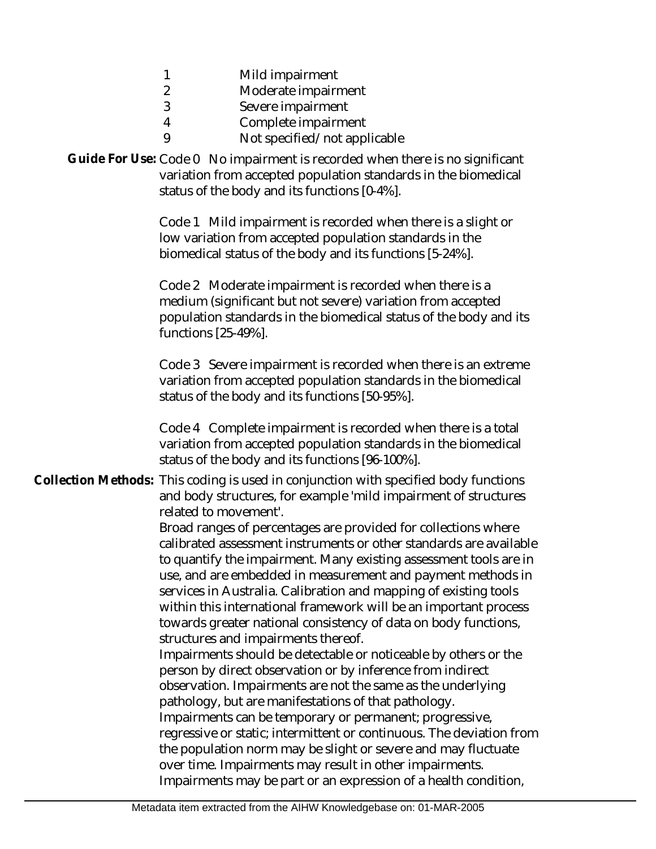| Mild impairment |
|-----------------|
|                 |

- $\mathfrak{D}$ Moderate impairment
- 3 Severe impairment

9

- 4 Complete impairment
	- Not specified/not applicable

Guide For Use: Code 0 No impairment is recorded when there is no significant variation from accepted population standards in the biomedical status of the body and its functions [0-4%].

> Code 1 Mild impairment is recorded when there is a slight or low variation from accepted population standards in the biomedical status of the body and its functions [5-24%].

Code 2 Moderate impairment is recorded when there is a medium (significant but not severe) variation from accepted population standards in the biomedical status of the body and its functions [25-49%].

Code 3 Severe impairment is recorded when there is an extreme variation from accepted population standards in the biomedical status of the body and its functions [50-95%].

Code 4 Complete impairment is recorded when there is a total variation from accepted population standards in the biomedical status of the body and its functions [96-100%].

## Collection Methods: This coding is used in conjunction with specified body functions and body structures, for example 'mild impairment of structures related to movement'.

Broad ranges of percentages are provided for collections where calibrated assessment instruments or other standards are available to quantify the impairment. Many existing assessment tools are in use, and are embedded in measurement and payment methods in services in Australia. Calibration and mapping of existing tools within this international framework will be an important process towards greater national consistency of data on body functions, structures and impairments thereof.

Impairments should be detectable or noticeable by others or the person by direct observation or by inference from indirect observation. Impairments are not the same as the underlying pathology, but are manifestations of that pathology. Impairments can be temporary or permanent; progressive, regressive or static; intermittent or continuous. The deviation from the population norm may be slight or severe and may fluctuate over time. Impairments may result in other impairments. Impairments may be part or an expression of a health condition,